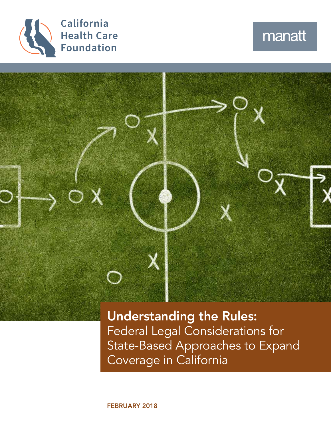

# manatt



Understanding the Rules: Federal Legal Considerations for State-Based Approaches to Expand Coverage in California

FEBRUARY 2018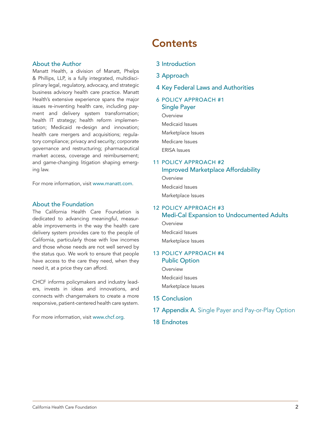#### About the Author

Manatt Health, a division of Manatt, Phelps & Phillips, LLP, is a fully integrated, multidisciplinary legal, regulatory, advocacy, and strategic business advisory health care practice. Manatt Health's extensive experience spans the major issues re-inventing health care, including payment and delivery system transformation; health IT strategy; health reform implementation; Medicaid re-design and innovation; health care mergers and acquisitions; regulatory compliance; privacy and security; corporate governance and restructuring; pharmaceutical market access, coverage and reimbursement; and game-changing litigation shaping emerging law.

For more information, visit [www.manatt.com](http://www.manatt.com).

#### About the Foundation

The California Health Care Foundation is dedicated to advancing meaningful, measurable improvements in the way the health care delivery system provides care to the people of California, particularly those with low incomes and those whose needs are not well served by the status quo. We work to ensure that people have access to the care they need, when they need it, at a price they can afford.

CHCF informs policymakers and industry leaders, invests in ideas and innovations, and connects with changemakers to create a more responsive, patient-centered health care system.

For more information, visit [www.chcf.org](http://www.chcf.org).

## **Contents**

- 3 [Introduction](#page-2-0)
- 3 [Approach](#page-2-0)
- 4 [Key Federal Laws and Authorities](#page-3-0)
- 6 [POLICY APPROACH #1](#page-5-0)  [Single Payer](#page-5-0)
	- **Overview** [Medicaid Issues](#page-6-0) [Marketplace Issues](#page-7-0) [Medicare Issues](#page-8-0)

[ERISA Issues](#page-9-0)

### 11 [POLICY APPROACH #2](#page-10-0)  [Improved Marketplace Affordability](#page-10-0)

**[Overview](#page-10-0)** 

[Medicaid Issues](#page-10-0) 

[Marketplace Issues](#page-10-0)

#### 12 [POLICY APPROACH #3](#page-11-0)  [Medi-Cal Expansion to Undocumented Adults](#page-11-0)

- **[Overview](#page-11-0)**
- [Medicaid Issues](#page-11-0)

[Marketplace Issues](#page-12-0) 

#### 13 [POLICY APPROACH #4](#page-12-0)  [Public Option](#page-12-0)

**[Overview](#page-12-0)** 

[Medicaid Issues](#page-13-0)

[Marketplace Issues](#page-13-0)

- 15 [Conclusion](#page-14-0)
- 17 Appendix A. [Single Payer and Pay-or-Play Option](#page-16-0)
- 18 [Endnotes](#page-17-0)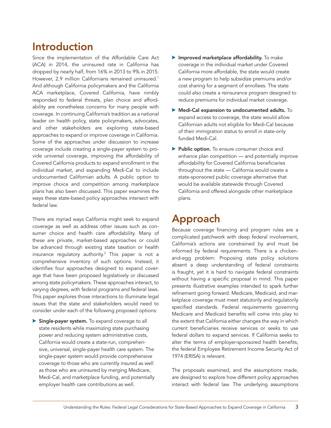## <span id="page-2-0"></span>Introduction

Since the implementation of the Affordable Care Act (ACA) in 2014, the uninsured rate in California has dropped by nearly half, from 16% in 2013 to 9% in 2015. However, 2.9 million Californians remained uninsured.<sup>1</sup> And although California policymakers and the California ACA marketplace, Covered California, have nimbly responded to federal threats, plan choice and affordability are nonetheless concerns for many people with coverage. In continuing California's tradition as a national leader on health policy, state policymakers, advocates, and other stakeholders are exploring state-based approaches to expand or improve coverage in California. Some of the approaches under discussion to increase coverage include creating a single-payer system to provide universal coverage, improving the affordability of Covered California products to expand enrollment in the individual market, and expanding Medi-Cal to include undocumented Californian adults. A public option to improve choice and competition among marketplace plans has also been discussed. This paper examines the ways these state-based policy approaches intersect with federal law.

There are myriad ways California might seek to expand coverage as well as address other issues such as consumer choice and health care affordability. Many of these are private, market-based approaches or could be advanced through existing state taxation or health insurance regulatory authority.<sup>2</sup> This paper is not a comprehensive inventory of such options. Instead, it identifies four approaches designed to expand coverage that have been proposed legislatively or discussed among state policymakers. These approaches interact, to varying degrees, with federal programs and federal laws. This paper explores those interactions to illuminate legal issues that the state and stakeholders would need to consider under each of the following proposed options:

Single-payer system. To expand coverage to all state residents while maximizing state purchasing power and reducing system administrative costs, California would create a state-run, comprehensive, universal, single-payer health care system. The single-payer system would provide comprehensive coverage to those who are currently insured as well as those who are uninsured by merging Medicare, Medi-Cal, and marketplace funding, and potentially employer health care contributions as well.

- $\blacktriangleright$  Improved marketplace affordability. To make coverage in the individual market under Covered California more affordable, the state would create a new program to help subsidize premiums and/or cost sharing for a segment of enrollees. The state could also create a reinsurance program designed to reduce premiums for individual market coverage.
- $\blacktriangleright$  Medi-Cal expansion to undocumented adults. To expand access to coverage, the state would allow Californian adults not eligible for Medi-Cal because of their immigration status to enroll in state-only funded Medi-Cal.
- **> Public option.** To ensure consumer choice and enhance plan competition — and potentially improve affordability for Covered California beneficiaries throughout the state — California would create a state-sponsored public coverage alternative that would be available statewide through Covered California and offered alongside other marketplace plans.

## Approach

Because coverage financing and program rules are a complicated patchwork with deep federal involvement, California's actions are constrained by and must be informed by federal requirements. There is a chickenand-egg problem: Proposing state policy solutions absent a deep understanding of federal constraints is fraught, yet it is hard to navigate federal constraints without having a specific proposal in mind. This paper presents illustrative examples intended to spark further refinement going forward. Medicare, Medicaid, and marketplace coverage must meet statutorily and regulatorily specified standards. Federal requirements governing Medicare and Medicaid benefits will come into play to the extent that California either changes the way in which current beneficiaries receive services or seeks to use federal dollars to expand services. If California seeks to alter the terms of employer-sponsored health benefits, the federal Employee Retirement Income Security Act of 1974 (ERISA) is relevant.

The proposals examined, and the assumptions made, are designed to explore how different policy approaches interact with federal law. The underlying assumptions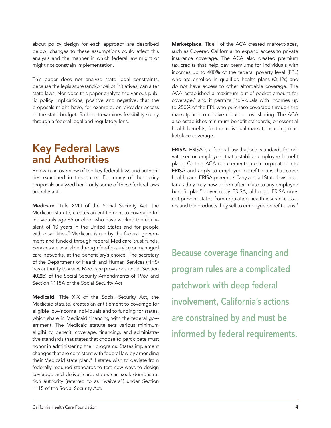<span id="page-3-0"></span>about policy design for each approach are described below; changes to these assumptions could affect this analysis and the manner in which federal law might or might not constrain implementation.

This paper does not analyze state legal constraints, because the legislature (and/or ballot initiatives) can alter state laws. Nor does this paper analyze the various public policy implications, positive and negative, that the proposals might have, for example, on provider access or the state budget. Rather, it examines feasibility solely through a federal legal and regulatory lens.

## Key Federal Laws and Authorities

Below is an overview of the key federal laws and authorities examined in this paper. For many of the policy proposals analyzed here, only some of these federal laws are relevant.

Medicare. Title XVIII of the Social Security Act, the Medicare statute, creates an entitlement to coverage for individuals age 65 or older who have worked the equivalent of 10 years in the United States and for people with disabilities.<sup>3</sup> Medicare is run by the federal government and funded through federal Medicare trust funds. Services are available through fee-for-service or managed care networks, at the beneficiary's choice. The secretary of the Department of Health and Human Services (HHS) has authority to waive Medicare provisions under Section 402(b) of the Social Security Amendments of 1967 and Section 1115A of the Social Security Act.

Medicaid. Title XIX of the Social Security Act, the Medicaid statute, creates an entitlement to coverage for eligible low-income individuals and to funding for states, which share in Medicaid financing with the federal government. The Medicaid statute sets various minimum eligibility, benefit, coverage, financing, and administrative standards that states that choose to participate must honor in administering their programs. States implement changes that are consistent with federal law by amending their Medicaid state plan.<sup>4</sup> If states wish to deviate from federally required standards to test new ways to design coverage and deliver care, states can seek demonstration authority (referred to as "waivers") under Section 1115 of the Social Security Act.

Marketplace. Title I of the ACA created marketplaces, such as Covered California, to expand access to private insurance coverage. The ACA also created premium tax credits that help pay premiums for individuals with incomes up to 400% of the federal poverty level (FPL) who are enrolled in qualified health plans (QHPs) and do not have access to other affordable coverage. The ACA established a maximum out-of-pocket amount for coverage,<sup>5</sup> and it permits individuals with incomes up to 250% of the FPL who purchase coverage through the marketplace to receive reduced cost sharing. The ACA also establishes minimum benefit standards, or essential health benefits, for the individual market, including marketplace coverage.

ERISA. ERISA is a federal law that sets standards for private-sector employers that establish employee benefit plans. Certain ACA requirements are incorporated into ERISA and apply to employee benefit plans that cover health care. ERISA preempts "any and all State laws insofar as they may now or hereafter relate to any employee benefit plan" covered by ERISA, although ERISA does not prevent states from regulating health insurance issuers and the products they sell to employee benefit plans.<sup>6</sup>

Because coverage financing and program rules are a complicated patchwork with deep federal involvement, California's actions are constrained by and must be informed by federal requirements.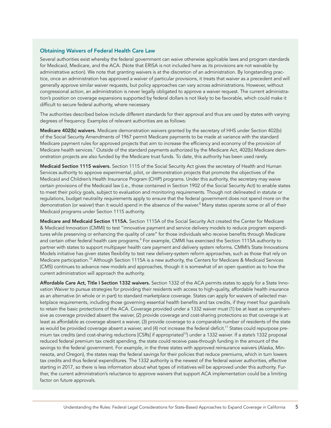#### Obtaining Waivers of Federal Health Care Law

Several authorities exist whereby the federal government can waive otherwise applicable laws and program standards for Medicaid, Medicare, and the ACA. (Note that ERISA is not included here as its provisions are not waivable by administrative action). We note that granting waivers is at the discretion of an administration. By longstanding practice, once an administration has approved a waiver of particular provisions, it treats that waiver as a precedent and will generally approve similar waiver requests, but policy approaches can vary across administrations. However, without congressional action, an administration is never legally obligated to approve a waiver request. The current administration's position on coverage expansions supported by federal dollars is not likely to be favorable, which could make it difficult to secure federal authority, where necessary.

The authorities described below include different standards for their approval and thus are used by states with varying degrees of frequency. Examples of relevant authorities are as follows:

Medicare 402(b) waivers. Medicare demonstration waivers granted by the secretary of HHS under Section 402(b) of the Social Security Amendments of 1967 permit Medicare payments to be made at variance with the standard Medicare payment rules for approved projects that aim to increase the efficiency and economy of the provision of Medicare health services.<sup>7</sup> Outside of the standard payments authorized by the Medicare Act, 402(b) Medicare demonstration projects are also funded by the Medicare trust funds. To date, this authority has been used rarely.

Medicaid Section 1115 waivers. Section 1115 of the Social Security Act gives the secretary of Health and Human Services authority to approve experimental, pilot, or demonstration projects that promote the objectives of the Medicaid and Children's Health Insurance Program (CHIP) programs. Under this authority, the secretary may waive certain provisions of the Medicaid law (i.e., those contained in Section 1902 of the Social Security Act) to enable states to meet their policy goals, subject to evaluation and monitoring requirements. Though not delineated in statute or regulations, budget neutrality requirements apply to ensure that the federal government does not spend more on the demonstration (or waiver) than it would spend in the absence of the waiver.<sup>8</sup> Many states operate some or all of their Medicaid programs under Section 1115 authority.

Medicare and Medicaid Section 1115A. Section 1115A of the Social Security Act created the Center for Medicare & Medicaid Innovation (CMMI) to test "innovative payment and service delivery models to reduce program expenditures while preserving or enhancing the quality of care" for those individuals who receive benefits through Medicare and certain other federal health care programs.<sup>9</sup> For example, CMMI has exercised the Section 1115A authority to partner with states to support multipayer health care payment and delivery system reforms. CMMI's State Innovations Models initiative has given states flexibility to test new delivery-system reform approaches, such as those that rely on Medicare participation.<sup>10</sup> Although Section 1115A is a new authority, the Centers for Medicare & Medicaid Services (CMS) continues to advance new models and approaches, though it is somewhat of an open question as to how the current administration will approach the authority.

Affordable Care Act, Title I Section 1332 waivers. Section 1332 of the ACA permits states to apply for a State Innovation Waiver to pursue strategies for providing their residents with access to high-quality, affordable health insurance as an alternative (in whole or in part) to standard marketplace coverage. States can apply for waivers of selected marketplace requirements, including those governing essential health benefits and tax credits, if they meet four guardrails to retain the basic protections of the ACA. Coverage provided under a 1332 waiver must (1) be at least as comprehensive as coverage provided absent the waiver, (2) provide coverage and cost-sharing protections so that coverage is at least as affordable as coverage absent a waiver, (3) provide coverage to a comparable number of residents of the state as would be provided coverage absent a waiver, and (4) not increase the federal deficit.<sup>11</sup> States could repurpose premium tax credits (and cost-sharing reductions [CSRs] if appropriated<sup>12</sup>) under a 1332 waiver. If a state's 1332 proposal reduced federal premium tax credit spending, the state could receive pass-through funding in the amount of the savings to the federal government. For example, in the three states with approved reinsurance waivers (Alaska, Minnesota, and Oregon), the states reap the federal savings for their policies that reduce premiums, which in turn lowers tax credits and thus federal expenditures. The 1332 authority is the newest of the federal waiver authorities, effective starting in 2017, so there is less information about what types of initiatives will be approved under this authority. Further, the current administration's reluctance to approve waivers that support ACA implementation could be a limiting factor on future approvals.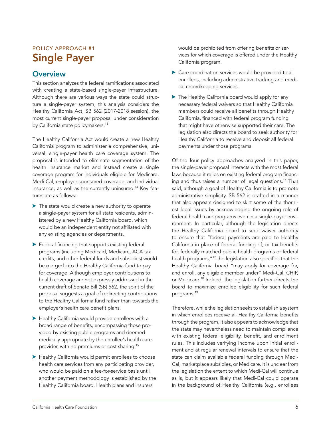## <span id="page-5-0"></span>POLICY APPROACH #1 Single Payer

## **Overview**

This section analyzes the federal ramifications associated with creating a state-based single-payer infrastructure. Although there are various ways the state could structure a single-payer system, this analysis considers the Healthy California Act, SB 562 (2017-2018 session), the most current single-payer proposal under consideration by California state policymakers.<sup>13</sup>

The Healthy California Act would create a new Healthy California program to administer a comprehensive, universal, single-payer health care coverage system. The proposal is intended to eliminate segmentation of the health insurance market and instead create a single coverage program for individuals eligible for Medicare, Medi-Cal, employer-sponsored coverage, and individual insurance, as well as the currently uninsured.<sup>14</sup> Key features are as follows:

- $\blacktriangleright$  The state would create a new authority to operate a single-payer system for all state residents, administered by a new Healthy California board, which would be an independent entity not affiliated with any existing agencies or departments.
- $\blacktriangleright$  Federal financing that supports existing federal programs (including Medicaid, Medicare, ACA tax credits, and other federal funds and subsidies) would be merged into the Healthy California fund to pay for coverage. Although employer contributions to health coverage are not expressly addressed in the current draft of Senate Bill (SB) 562, the spirit of the proposal suggests a goal of redirecting contributions to the Healthy California fund rather than towards the employer's health care benefit plans.
- $\blacktriangleright$  Healthy California would provide enrollees with a broad range of benefits, encompassing those provided by existing public programs and deemed medically appropriate by the enrollee's health care provider, with no premiums or cost sharing.15
- $\blacktriangleright$  Healthy California would permit enrollees to choose health care services from any participating provider, who would be paid on a fee-for-service basis until another payment methodology is established by the Healthy California board. Health plans and insurers

would be prohibited from offering benefits or services for which coverage is offered under the Healthy California program.

- $\triangleright$  Care coordination services would be provided to all enrollees, including administrative tracking and medical recordkeeping services.
- $\blacktriangleright$  The Healthy California board would apply for any necessary federal waivers so that Healthy California members could receive all benefits through Healthy California, financed with federal program funding that might have otherwise supported their care. The legislation also directs the board to seek authority for Healthy California to receive and deposit all federal payments under those programs.

Of the four policy approaches analyzed in this paper, the single-payer proposal interacts with the most federal laws because it relies on existing federal program financing and thus raises a number of legal questions.<sup>16</sup> That said, although a goal of Healthy California is to promote administrative simplicity, SB 562 is drafted in a manner that also appears designed to skirt some of the thorniest legal issues by acknowledging the ongoing role of federal health care programs even in a single-payer environment. In particular, although the legislation directs the Healthy California board to seek waiver authority to ensure that "federal payments are paid to Healthy California in place of federal funding of, or tax benefits for, federally matched public health programs or federal health programs,"17 the legislation also specifies that the Healthy California board "may apply for coverage for, and enroll, any eligible member under" Medi-Cal, CHIP, or Medicare.18 Indeed, the legislation further directs the board to maximize enrollee eligibility for such federal programs.19

Therefore, while the legislation seeks to establish a system in which enrollees receive all Healthy California benefits through the program, it also appears to acknowledge that the state may nevertheless need to maintain compliance with existing federal eligibility, benefit, and enrollment rules. This includes verifying income upon initial enrollment and at regular renewal intervals to ensure that the state can claim available federal funding through Medi-Cal, marketplace subsidies, or Medicare. It is unclear from the legislation the extent to which Medi-Cal will continue as is, but it appears likely that Medi-Cal could operate in the background of Healthy California (e.g., enrollees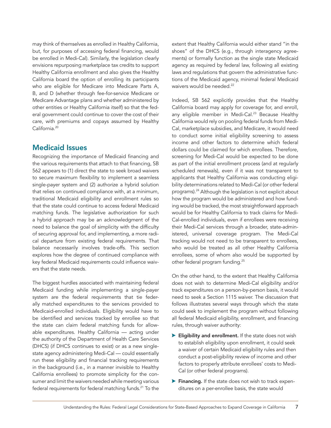<span id="page-6-0"></span>may think of themselves as enrolled in Healthy California, but, for purposes of accessing federal financing, would be enrolled in Medi-Cal). Similarly, the legislation clearly envisions repurposing marketplace tax credits to support Healthy California enrollment and also gives the Healthy California board the option of enrolling its participants who are eligible for Medicare into Medicare Parts A, B, and D (whether through fee-for-service Medicare or Medicare Advantage plans and whether administered by other entities or Healthy California itself) so that the federal government could continue to cover the cost of their care, with premiums and copays assumed by Healthy California.<sup>20</sup>

### Medicaid Issues

Recognizing the importance of Medicaid financing and the various requirements that attach to that financing, SB 562 appears to (1) direct the state to seek broad waivers to secure maximum flexibility to implement a seamless single-payer system and (2) authorize a hybrid solution that relies on continued compliance with, at a minimum, traditional Medicaid eligibility and enrollment rules so that the state could continue to access federal Medicaid matching funds. The legislative authorization for such a hybrid approach may be an acknowledgment of the need to balance the goal of simplicity with the difficulty of securing approval for, and implementing, a more radical departure from existing federal requirements. That balance necessarily involves trade-offs. This section explores how the degree of continued compliance with key federal Medicaid requirements could influence waivers that the state needs.

The biggest hurdles associated with maintaining federal Medicaid funding while implementing a single-payer system are the federal requirements that tie federally matched expenditures to the services provided to Medicaid-enrolled individuals. Eligibility would have to be identified and services tracked by enrollee so that the state can claim federal matching funds for allowable expenditures. Healthy California — acting under the authority of the Department of Health Care Services (DHCS) (if DHCS continues to exist) or as a new singlestate agency administering Medi-Cal — could essentially run these eligibility and financial tracking requirements in the background (i.e., in a manner invisible to Healthy California enrollees) to promote simplicity for the consumer and limit the waivers needed while meeting various federal requirements for federal matching funds.<sup>21</sup> To the

extent that Healthy California would either stand "in the shoes" of the DHCS (e.g., through interagency agreements) or formally function as the single state Medicaid agency as required by federal law, following all existing laws and regulations that govern the administrative functions of the Medicaid agency, minimal federal Medicaid waivers would be needed.<sup>22</sup>

Indeed, SB 562 explicitly provides that the Healthy California board may apply for coverage for, and enroll, any eligible member in Medi-Cal.<sup>23</sup> Because Healthy California would rely on pooling federal funds from Medi-Cal, marketplace subsidies, and Medicare, it would need to conduct some initial eligibility screening to assess income and other factors to determine which federal dollars could be claimed for which enrollees. Therefore, screening for Medi-Cal would be expected to be done as part of the initial enrollment process (and at regularly scheduled renewals), even if it was not transparent to applicants that Healthy California was conducting eligibility determinations related to Medi-Cal (or other federal programs).<sup>24</sup> Although the legislation is not explicit about how the program would be administered and how funding would be tracked, the most straightforward approach would be for Healthy California to track claims for Medi-Cal-enrolled individuals, even if enrollees were receiving their Medi-Cal services through a broader, state-administered, universal coverage program. The Medi-Cal tracking would not need to be transparent to enrollees, who would be treated as all other Healthy California enrollees, some of whom also would be supported by other federal program funding.<sup>25</sup>

On the other hand, to the extent that Healthy California does not wish to determine Medi-Cal eligibility and/or track expenditures on a person-by-person basis, it would need to seek a Section 1115 waiver. The discussion that follows illustrates several ways through which the state could seek to implement the program without following all federal Medicaid eligibility, enrollment, and financing rules, through waiver authority:

- $\blacktriangleright$  Eligibility and enrollment. If the state does not wish to establish eligibility upon enrollment, it could seek a waiver of certain Medicaid eligibility rules and then conduct a post-eligibility review of income and other factors to properly attribute enrollees' costs to Medi-Cal (or other federal programs).
- $\blacktriangleright$  Financing. If the state does not wish to track expenditures on a per-enrollee basis, the state would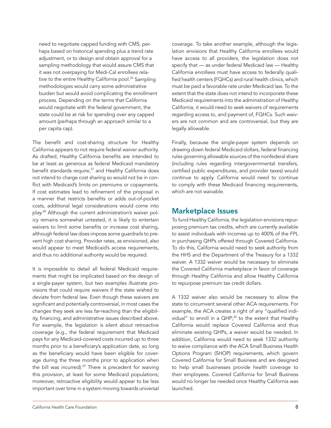<span id="page-7-0"></span>need to negotiate capped funding with CMS, perhaps based on historical spending plus a trend rate adjustment, or to design and obtain approval for a sampling methodology that would assure CMS that it was not overpaying for Medi-Cal enrollees relative to the entire Healthy California pool.<sup>26</sup> Sampling methodologies would carry some administrative burden but would avoid complicating the enrollment process. Depending on the terms that California would negotiate with the federal government, the state could be at risk for spending over any capped amount (perhaps through an approach similar to a per capita cap).

The benefit and cost-sharing structure for Healthy California appears to not require federal waiver authority. As drafted, Healthy California benefits are intended to be at least as generous as federal Medicaid mandatory benefit standards require, $27$  and Healthy California does not intend to charge cost sharing so would not be in conflict with Medicaid's limits on premiums or copayments. If cost estimates lead to refinement of the proposal in a manner that restricts benefits or adds out-of-pocket costs, additional legal considerations would come into play.28 Although the current administration's waiver policy remains somewhat untested, it is likely to entertain waivers to limit some benefits or increase cost sharing, although federal law does impose some guardrails to prevent high cost sharing. Provider rates, as envisioned, also would appear to meet Medicaid's access requirements, and thus no additional authority would be required.

It is impossible to detail all federal Medicaid requirements that might be implicated based on the design of a single-payer system, but two examples illustrate provisions that could require waivers if the state wished to deviate from federal law. Even though these waivers are significant and potentially controversial, in most cases the changes they seek are less far-reaching than the eligibility, financing, and administrative issues described above. For example, the legislation is silent about retroactive coverage (e.g., the federal requirement that Medicaid pays for any Medicaid-covered costs incurred up to three months prior to a beneficiary's application date, so long as the beneficiary would have been eligible for coverage during the three months prior to application when the bill was incurred).<sup>29</sup> There is precedent for waiving this provision, at least for some Medicaid populations; moreover, retroactive eligibility would appear to be less important over time in a system moving towards universal

coverage. To take another example, although the legislation envisions that Healthy California enrollees would have access to all providers, the legislation does not specify that — as under federal Medicaid law — Healthy California enrollees must have access to federally qualified health centers (FQHCs) and rural health clinics, which must be paid a favorable rate under Medicaid law. To the extent that the state does not intend to incorporate these Medicaid requirements into the administration of Healthy California, it would need to seek waivers of requirements regarding access to, and payment of, FQHCs. Such waivers are not common and are controversial, but they are legally allowable.

Finally, because the single-payer system depends on drawing down federal Medicaid dollars, federal financing rules governing allowable sources of the nonfederal share (including rules regarding intergovernmental transfers, certified public expenditures, and provider taxes) would continue to apply. California would need to continue to comply with these Medicaid financing requirements, which are not waivable.

### Marketplace Issues

To fund Healthy California, the legislation envisions repurposing premium tax credits, which are currently available to assist individuals with incomes up to 400% of the FPL in purchasing QHPs offered through Covered California. To do this, California would need to seek authority from the HHS and the Department of the Treasury for a 1332 waiver. A 1332 waiver would be necessary to eliminate the Covered California marketplace in favor of coverage through Healthy California and allow Healthy California to repurpose premium tax credit dollars.

A 1332 waiver also would be necessary to allow the state to circumvent several other ACA requirements. For example, the ACA creates a right of any "qualified individual" to enroll in a  $QHP;^{30}$  to the extent that Healthy California would replace Covered California and thus eliminate existing QHPs, a waiver would be needed. In addition, California would need to seek 1332 authority to waive compliance with the ACA Small Business Health Options Program (SHOP) requirements, which govern Covered California for Small Business and are designed to help small businesses provide health coverage to their employees. Covered California for Small Business would no longer be needed once Healthy California was launched.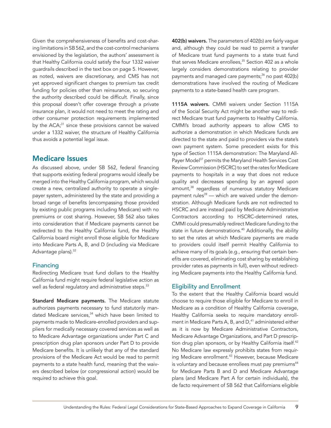<span id="page-8-0"></span>Given the comprehensiveness of benefits and cost-sharing limitations in SB 562, and the cost-control mechanisms envisioned by the legislation, the authors' assessment is that Healthy California could satisfy the four 1332 waiver guardrails described in the text box on page 5. However, as noted, waivers are discretionary, and CMS has not yet approved significant changes to premium tax credit funding for policies other than reinsurance, so securing the authority described could be difficult. Finally, since this proposal doesn't offer coverage through a private insurance plan, it would not need to meet the rating and other consumer protection requirements implemented by the  $ACA<sub>i</sub><sup>31</sup>$  since these provisions cannot be waived under a 1332 waiver, the structure of Healthy California thus avoids a potential legal issue.

### Medicare Issues

As discussed above, under SB 562, federal financing that supports existing federal programs would ideally be merged into the Healthy California program, which would create a new, centralized authority to operate a singlepayer system, administered by the state and providing a broad range of benefits (encompassing those provided by existing public programs including Medicare) with no premiums or cost sharing. However, SB 562 also takes into consideration that if Medicare payments cannot be redirected to the Healthy California fund, the Healthy California board might enroll those eligible for Medicare into Medicare Parts A, B, and D (including via Medicare Advantage plans).<sup>32</sup>

#### Financing

Redirecting Medicare trust fund dollars to the Healthy California fund might require federal legislative action as well as federal regulatory and administrative steps.<sup>33</sup>

Standard Medicare payments. The Medicare statute authorizes payments necessary to fund statutorily mandated Medicare services, $34$  which have been limited to payments made to Medicare-enrolled providers and suppliers for medically necessary covered services as well as to Medicare Advantage organizations under Part C and prescription drug plan sponsors under Part D to provide Medicare benefits. It is unlikely that any of the standard provisions of the Medicare Act would be read to permit payments to a state health fund, meaning that the waivers described below (or congressional action) would be required to achieve this goal.

402(b) waivers. The parameters of 402(b) are fairly vague and, although they could be read to permit a transfer of Medicare trust fund payments to a state trust fund that serves Medicare enrollees,<sup>35</sup> Section 402 as a whole largely considers demonstrations relating to provider payments and managed care payments;<sup>36</sup> no past 402(b) demonstrations have involved the routing of Medicare payments to a state-based health care program.

1115A waivers. CMMI waivers under Section 1115A of the Social Security Act might be another way to redirect Medicare trust fund payments to Healthy California. CMMI's broad authority appears to allow CMS to authorize a demonstration in which Medicare funds are directed to the state and paid to providers via the state's own payment system. Some precedent exists for this type of Section 1115A demonstration: The Maryland All-Payer Model<sup>37</sup> permits the Maryland Health Services Cost Review Commission (HSCRC) to set the rates for Medicare payments to hospitals in a way that does not reduce quality and decreases spending by an agreed upon amount,<sup>38</sup> regardless of numerous statutory Medicare payment rules $39$  — which are waived under the demonstration. Although Medicare funds are not redirected to HSCRC and are instead paid by Medicare Administrative Contractors according to HSCRC-determined rates, CMMI could presumably redirect Medicare funding to the state in future demonstrations.<sup>40</sup> Additionally, the ability to set the rates at which Medicare payments are made to providers could itself permit Healthy California to achieve many of its goals (e.g., ensuring that certain benefits are covered, eliminating cost sharing by establishing provider rates as payments in full), even without redirecting Medicare payments into the Healthy California fund.

#### Eligibility and Enrollment

To the extent that the Healthy California board would choose to require those eligible for Medicare to enroll in Medicare as a condition of Healthy California coverage, Healthy California seeks to require mandatory enrollment in Medicare Parts A, B, and D,<sup>41</sup> administered either as it is now by Medicare Administrative Contractors, Medicare Advantage Organizations, and Part D prescription drug plan sponsors, or by Healthy California itself.<sup>42</sup> No Medicare law expressly prohibits states from requiring Medicare enrollment.<sup>43</sup> However, because Medicare is voluntary and because enrollees must pay premiums<sup>44</sup> for Medicare Parts B and D and Medicare Advantage plans (and Medicare Part A for certain individuals), the de facto requirement of SB 562 that Californians eligible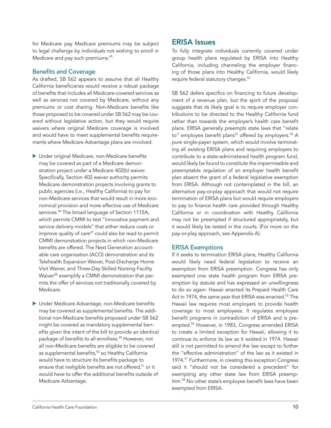<span id="page-9-0"></span>for Medicare pay Medicare premiums may be subject to legal challenge by individuals not wishing to enroll in Medicare and pay such premiums.<sup>45</sup>

#### Benefits and Coverage

As drafted, SB 562 appears to assume that all Healthy California beneficiaries would receive a robust package of benefits that includes all Medicare-covered services as well as services not covered by Medicare, without any premiums or cost sharing. Non-Medicare benefits like those proposed to be covered under SB 562 may be covered without legislative action, but they would require waivers where original Medicare coverage is involved and would have to meet supplemental benefits requirements where Medicare Advantage plans are involved.

- $\blacktriangleright$  Under original Medicare, non-Medicare benefits may be covered as part of a Medicare demonstration project under a Medicare 402(b) waiver. Specifically, Section 402 waiver authority permits Medicare demonstration projects involving grants to public agencies (i.e., Healthy California) to pay for non-Medicare services that would result in more economical provision and more effective use of Medicare services.<sup>46</sup> The broad language of Section 1115A, which permits CMMI to test "innovative payment and service delivery models" that either reduce costs or improve quality of care $47$  could also be read to permit CMMI demonstration projects in which non-Medicare benefits are offered. The Next Generation accountable care organization (ACO) demonstration and its Telehealth Expansion Waiver, Post-Discharge Home Visit Waiver, and Three-Day Skilled Nursing Facility Waiver<sup>48</sup> exemplify a CMMI demonstration that permits the offer of services not traditionally covered by Medicare.
- $\blacktriangleright$  Under Medicare Advantage, non-Medicare benefits may be covered as supplemental benefits. The additional non-Medicare benefits proposed under SB 562 might be covered as mandatory supplemental benefits given the intent of the bill to provide an identical package of benefits to all enrollees.49 However, not all non-Medicare benefits are eligible to be covered as supplemental benefits,<sup>50</sup> so Healthy California would have to structure its benefits package to ensure that ineligible benefits are not offered,<sup>51</sup> or it would have to offer the additional benefits outside of Medicare Advantage.

### ERISA Issues

To fully integrate individuals currently covered under group health plans regulated by ERISA into Healthy California, including channeling the employer financing of those plans into Healthy California, would likely require federal statutory changes.<sup>52</sup>

SB 562 defers specifics on financing to future development of a revenue plan, but the spirit of the proposal suggests that its likely goal is to require employer contributions to be directed to the Healthy California fund rather than towards the employer's health care benefit plans. ERISA generally preempts state laws that "relate to" employee benefit plans<sup>53</sup> offered by employers.<sup>54</sup> A pure single-payer system, which would involve terminating all existing ERISA plans and requiring employers to contribute to a state-administered health program fund, would likely be found to constitute the impermissible and preemptable regulation of an employer health benefit plan absent the grant of a federal legislative exemption from ERISA. Although not contemplated in the bill, an alternative pay-or-play approach that would not require termination of ERISA plans but would require employers to pay to finance health care provided through Healthy California or in coordination with Healthy California may not be preempted if structured appropriately, but it would likely be tested in the courts. (For more on the pay-or-play approach, see Appendix A).

#### ERISA Exemptions

If it seeks to termination ERISA plans, Healthy California would likely need federal legislation to receive an exemption from ERISA preemption. Congress has only exempted one state health program from ERISA preemption by statute and has expressed an unwillingness to do so again: Hawaii enacted its Prepaid Health Care Act in 1974, the same year that ERISA was enacted.<sup>55</sup> The Hawaii law requires most employers to provide health coverage to most employees. It regulates employee benefit programs in contradiction of ERISA and is preempted.<sup>56</sup> However, in 1983, Congress amended ERISA to create a limited exception for Hawaii, allowing it to continue to enforce its law as it existed in 1974. Hawaii still is not permitted to amend the law except to further the "effective administration" of the law as it existed in 1974.<sup>57</sup> Furthermore, in creating this exception Congress said it "should not be considered a precedent" for exempting any other state law from ERISA preemption.<sup>58</sup> No other state's employee benefit laws have been exempted from ERISA.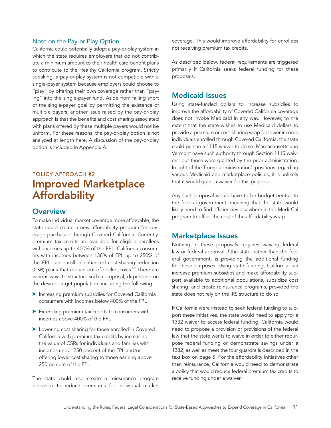#### <span id="page-10-0"></span>Note on the Pay-or-Play Option

California could potentially adopt a pay-or-play system in which the state requires employers that do not contribute a minimum amount to their health care benefit plans to contribute to the Healthy California program. Strictly speaking, a pay-or-play system is not compatible with a single-payer system because employers could choose to "play" by offering their own coverage rather than "paying" into the single-payer fund. Aside from falling short of the single-payer goal by permitting the existence of multiple payers, another issue raised by the pay-or-play approach is that the benefits and cost sharing associated with plans offered by these multiple payers would not be uniform. For these reasons, the pay-or-play option is not analyzed at length here. A discussion of the pay-or-play option is included in Appendix A.

## POLICY APPROACH #2 Improved Marketplace **Affordability**

## **Overview**

To make individual market coverage more affordable, the state could create a new affordability program for coverage purchased through Covered California. Currently, premium tax credits are available for eligible enrollees with incomes up to 400% of the FPL. California consumers with incomes between 138% of FPL up to 250% of the FPL can enroll in enhanced cost-sharing reduction (CSR) plans that reduce out-of-pocket costs.<sup>59</sup> There are various ways to structure such a proposal, depending on the desired target population, including the following:

- **Increasing premium subsidies for Covered California** consumers with incomes below 400% of the FPL
- $\blacktriangleright$  Extending premium tax credits to consumers with incomes above 400% of the FPL
- $\blacktriangleright$  Lowering cost sharing for those enrolled in Covered California with premium tax credits by increasing the value of CSRs for individuals and families with incomes under 250 percent of the FPL and/or offering lower cost sharing to those earning above 250 percent of the FPL

The state could also create a reinsurance program designed to reduce premiums for individual market coverage. This would improve affordability for enrollees not receiving premium tax credits.

As described below, federal requirements are triggered primarily if California seeks federal funding for these proposals.

### Medicaid Issues

Using state-funded dollars to increase subsidies to improve the affordability of Covered California coverage does not invoke Medicaid in any way. However, to the extent that the state wishes to use Medicaid dollars to provide a premium or cost-sharing wrap for lower income individuals enrolled through Covered California, the state could pursue a 1115 waiver to do so. Massachusetts and Vermont have such authority through Section 1115 waivers, but those were granted by the prior administration. In light of the Trump administration's positions regarding various Medicaid and marketplace policies, it is unlikely that it would grant a waiver for this purpose.

Any such proposal would have to be budget neutral to the federal government, meaning that the state would likely need to find efficiencies elsewhere in the Medi-Cal program to offset the cost of the affordability wrap.

### Marketplace Issues

Nothing in these proposals requires waiving federal law or federal approval *if* the state, rather than the federal government, is providing the additional funding for these purposes. Using state funding, California can increase premium subsidies and make affordability support available to additional populations, subsidize cost sharing, and create reinsurance programs, provided the state does not rely on the IRS structure to do so.

If California were instead to seek federal funding to support these initiatives, the state would need to apply for a 1332 waiver to access federal funding. California would need to propose a provision or provisions of the federal law that the state wants to waive in order to either repurpose federal funding or demonstrate savings under a 1332, as well as meet the four guardrails described in the text box on page 5. For the affordability initiatives other than reinsurance, California would need to demonstrate a policy that would reduce federal premium tax credits to receive funding under a waiver.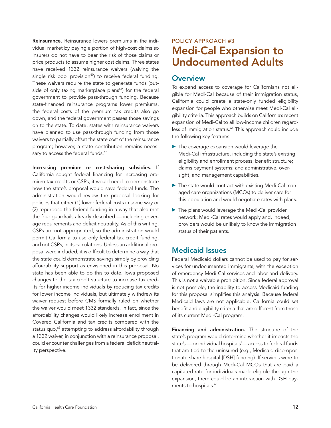<span id="page-11-0"></span>Reinsurance. Reinsurance lowers premiums in the individual market by paying a portion of high-cost claims so insurers do not have to bear the risk of those claims or price products to assume higher cost claims. Three states have received 1332 reinsurance waivers (waiving the single risk pool provision<sup>60</sup>) to receive federal funding. These waivers require the state to generate funds (outside of only taxing marketplace plans<sup>61</sup>) for the federal government to provide pass-through funding. Because state-financed reinsurance programs lower premiums, the federal costs of the premium tax credits also go down, and the federal government passes those savings on to the state. To date, states with reinsurance waivers have planned to use pass-through funding from those waivers to partially offset the state cost of the reinsurance program; however, a state contribution remains necessary to access the federal funds.<sup>62</sup>

Increasing premium or cost-sharing subsidies. If California sought federal financing for increasing premium tax credits or CSRs, it would need to demonstrate how the state's proposal would save federal funds. The administration would review the proposal looking for policies that either (1) lower federal costs in some way or (2) repurpose the federal funding in a way that also met the four guardrails already described — including coverage requirements and deficit neutrality. As of this writing, CSRs are not appropriated, so the administration would permit California to use only federal tax credit funding, and not CSRs, in its calculations. Unless an additional proposal were included, it is difficult to determine a way that the state could demonstrate savings simply by providing affordability support as envisioned in this proposal. No state has been able to do this to date. Iowa proposed changes to the tax credit structure to increase tax credits for higher income individuals by reducing tax credits for lower income individuals, but ultimately withdrew its waiver request before CMS formally ruled on whether the waiver would meet 1332 standards. In fact, since the affordability changes would likely increase enrollment in Covered California and tax credits compared with the status quo,<sup>63</sup> attempting to address affordability through a 1332 waiver, in conjunction with a reinsurance proposal, could encounter challenges from a federal deficit neutrality perspective.

## POLICY APPROACH #3 Medi-Cal Expansion to Undocumented Adults

## **Overview**

To expand access to coverage for Californians not eligible for Medi-Cal because of their immigration status, California could create a state-only funded eligibility expansion for people who otherwise meet Medi-Cal eligibility criteria. This approach builds on California's recent expansion of Medi-Cal to all low-income children regardless of immigration status.<sup>64</sup> This approach could include the following key features:

- $\blacktriangleright$  The coverage expansion would leverage the Medi-Cal infrastructure, including the state's existing eligibility and enrollment process; benefit structure; claims payment systems; and administrative, oversight, and management capabilities.
- $\triangleright$  The state would contract with existing Medi-Cal managed care organizations (MCOs) to deliver care for this population and would negotiate rates with plans.
- $\blacktriangleright$  The plans would leverage the Medi-Cal provider network; Medi-Cal rates would apply and, indeed, providers would be unlikely to know the immigration status of their patients.

## Medicaid Issues

Federal Medicaid dollars cannot be used to pay for services for undocumented immigrants, with the exception of emergency Medi-Cal services and labor and delivery. This is not a waivable prohibition. Since federal approval is not possible, the inability to access Medicaid funding for this proposal simplifies this analysis. Because federal Medicaid laws are not applicable, California could set benefit and eligibility criteria that are different from those of its current Medi-Cal program.

Financing and administration. The structure of the state's program would determine whether it impacts the state's — or individual hospitals'— access to federal funds that are tied to the uninsured (e.g., Medicaid disproportionate share hospital [DSH] funding). If services were to be delivered through Medi-Cal MCOs that are paid a capitated rate for individuals made eligible through the expansion, there could be an interaction with DSH payments to hospitals.<sup>65</sup>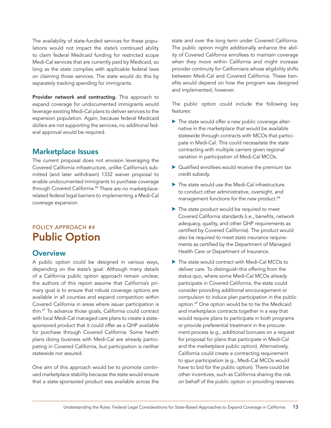<span id="page-12-0"></span>The availability of state-funded services for these populations would not impact the state's continued ability to claim federal Medicaid funding for restricted scope Medi-Cal services that are currently paid by Medicaid, so long as the state complies with applicable federal laws on claiming those services. The state would do this by separately tracking spending for immigrants.

Provider network and contracting. This approach to expand coverage for undocumented immigrants would leverage existing Medi-Cal plans to deliver services to the expansion population. Again, because federal Medicaid dollars are not supporting the services, no additional federal approval would be required.

## Marketplace Issues

The current proposal does not envision leveraging the Covered California infrastructure, unlike California's submitted (and later withdrawn) 1332 waiver proposal to enable undocumented immigrants to purchase coverage through Covered California.<sup>66</sup> There are no marketplacerelated federal legal barriers to implementing a Medi-Cal coverage expansion.

## POLICY APPROACH #4 Public Option

### **Overview**

A public option could be designed in various ways, depending on the state's goal. Although many details of a California public option approach remain unclear, the authors of this report assume that California's primary goal is to ensure that robust coverage options are available in all counties and expand competition within Covered California in areas where issuer participation is thin.<sup>67</sup> To advance those goals, California could contract with local Medi-Cal managed care plans to create a statesponsored product that it could offer as a QHP available for purchase through Covered California. Some health plans doing business with Medi-Cal are already participating in Covered California, but participation is neither statewide nor assured.

One aim of this approach would be to promote continued marketplace stability because the state would ensure that a state-sponsored product was available across the

state and over the long term under Covered California. The public option might additionally enhance the ability of Covered California enrollees to maintain coverage when they move within California and might increase provider continuity for Californians whose eligibility shifts between Medi-Cal and Covered California. These benefits would depend on how the program was designed and implemented, however.

The public option could include the following key features:

- $\blacktriangleright$  The state would offer a new public coverage alternative in the marketplace that would be available statewide through contracts with MCOs that participate in Medi-Cal. This could necessitate the state contracting with multiple carriers given regional variation in participation of Medi-Cal MCOs.
- $\triangleright$  Qualified enrollees would receive the premium tax credit subsidy.
- $\blacktriangleright$  The state would use the Medi-Cal infrastructure to conduct other administrative, oversight, and management functions for the new product.<sup>68</sup>
- $\blacktriangleright$  The state product would be required to meet Covered California standards (i.e., benefits, network adequacy, quality, and other QHP requirements as certified by Covered California). The product would also be required to meet state insurance requirements as certified by the Department of Managed Health Care or Department of Insurance.
- $\blacktriangleright$  The state would contract with Medi-Cal MCOs to deliver care. To distinguish this offering from the status quo, where some Medi-Cal MCOs already participate in Covered California, the state could consider providing additional encouragement or compulsion to induce plan participation in the public option.<sup>69</sup> One option would be to tie the Medicaid and marketplace contracts together in a way that would require plans to participate in both programs or provide preferential treatment in the procurement process (e.g., additional bonuses on a request for proposal for plans that participate in Medi-Cal and the marketplace public option). Alternatively, California could create a contracting requirement to spur participation (e.g., Medi-Cal MCOs would have to bid for the public option). There could be other incentives, such as California sharing the risk on behalf of the public option or providing reserves.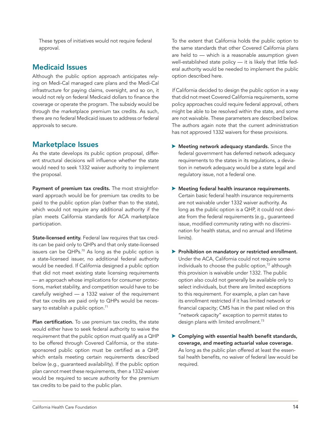<span id="page-13-0"></span>These types of initiatives would not require federal approval.

## Medicaid Issues

Although the public option approach anticipates relying on Medi-Cal managed care plans and the Medi-Cal infrastructure for paying claims, oversight, and so on, it would not rely on federal Medicaid dollars to finance the coverage or operate the program. The subsidy would be through the marketplace premium tax credits. As such, there are no federal Medicaid issues to address or federal approvals to secure.

## Marketplace Issues

As the state develops its public option proposal, different structural decisions will influence whether the state would need to seek 1332 waiver authority to implement the proposal.

Payment of premium tax credits. The most straightforward approach would be for premium tax credits to be paid to the public option plan (rather than to the state), which would not require any additional authority if the plan meets California standards for ACA marketplace participation.

State-licensed entity. Federal law requires that tax credits can be paid only to QHPs and that only state-licensed issuers can be  $QHPs.<sup>70</sup>$  As long as the public option is a state-licensed issuer, no additional federal authority would be needed. If California designed a public option that did not meet existing state licensing requirements — an approach whose implications for consumer protections, market stability, and competition would have to be carefully weighed — a 1332 waiver of the requirement that tax credits are paid only to QHPs would be necessary to establish a public option.<sup>71</sup>

Plan certification. To use premium tax credits, the state would either have to seek federal authority to waive the requirement that the public option must qualify as a QHP to be offered through Covered California, or the statesponsored public option must be certified as a QHP, which entails meeting certain requirements described below (e.g., guaranteed availability). If the public option plan cannot meet these requirements, then a 1332 waiver would be required to secure authority for the premium tax credits to be paid to the public plan.

To the extent that California holds the public option to the same standards that other Covered California plans are held to — which is a reasonable assumption given well-established state policy — it is likely that little federal authority would be needed to implement the public option described here.

*If* California decided to design the public option in a way that did not meet Covered California requirements, some policy approaches could require federal approval, others might be able to be resolved within the state, and some are not waivable. These parameters are described below. The authors again note that the current administration has not approved 1332 waivers for these provisions.

- $\blacktriangleright$  Meeting network adequacy standards. Since the federal government has deferred network adequacy requirements to the states in its regulations, a deviation in network adequacy would be a state legal and regulatory issue, not a federal one.
- $\blacktriangleright$  Meeting federal health insurance requirements. Certain basic federal health insurance requirements are not waivable under 1332 waiver authority. As long as the public option is a QHP, it could not deviate from the federal requirements (e.g., guaranteed issue, modified community rating with no discrimination for health status, and no annual and lifetime limits).
- **>** Prohibition on mandatory or restricted enrollment. Under the ACA, California could not require some individuals to choose the public option, $72$  although this provision is waivable under 1332. The public option also could not generally be available only to select individuals, but there are limited exceptions to this requirement. For example, a plan can have its enrollment restricted if it has limited network or financial capacity; CMS has in the past relied on this "network capacity" exception to permit states to design plans with limited enrollment.<sup>73</sup>
- $\blacktriangleright$  Complying with essential health benefit standards, coverage, and meeting actuarial value coverage. As long as the public plan offered at least the essential health benefits, no waiver of federal law would be required.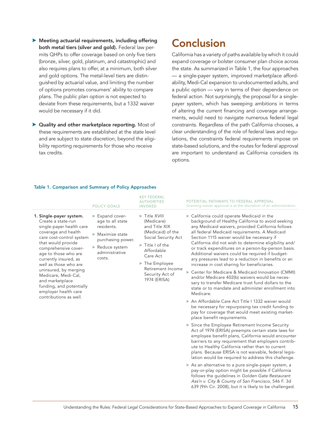- <span id="page-14-0"></span> $\blacktriangleright$  Meeting actuarial requirements, including offering both metal tiers (silver and gold). Federal law permits QHPs to offer coverage based on only five tiers (bronze, silver, gold, platinum, and catastrophic) and also requires plans to offer, at a minimum, both silver and gold options. The metal-level tiers are distinguished by actuarial value, and limiting the number of options promotes consumers' ability to compare plans. The public plan option is not expected to deviate from these requirements, but a 1332 waiver would be necessary if it did.
- $\blacktriangleright$  Quality and other marketplace reporting. Most of these requirements are established at the state level and are subject to state discretion, beyond the eligibility reporting requirements for those who receive tax credits.

## **Conclusion**

California has a variety of paths available by which it could expand coverage or bolster consumer plan choice across the state. As summarized in Table 1, the four approaches — a single-payer system, improved marketplace affordability, Medi-Cal expansion to undocumented adults, and a public option — vary in terms of their dependence on federal action. Not surprisingly, the proposal for a singlepayer system, which has sweeping ambitions in terms of altering the current financing and coverage arrangements, would need to navigate numerous federal legal constraints. Regardless of the path California chooses, a clear understanding of the role of federal laws and regulations, the constraints federal requirements impose on state-based solutions, and the routes for federal approval are important to understand as California considers its options.

#### Table 1. Comparison and Summary of Policy Approaches

|                                                                                                                                                                                                                                                                                                                                                                                                       | <b>POLICY GOALS</b>                                                                                                                                       | <b>KEY FEDERAL</b><br><b>AUTHORITIES</b><br><b>INVOKED</b>                                                                                                                                                                       | POTENTIAL PATHWAYS TO FEDERAL APPROVAL<br>Granting waiver approval is at the discretion of an administration.                                                                                                                                                                                                                                                                                                                                                                                                                                                                                                                                                                                                                                                                                                                                                                                                                                                                                                                                                                                                                                                                                                                                                                                                                                                                                                                                                                                                                                                                                                                   |
|-------------------------------------------------------------------------------------------------------------------------------------------------------------------------------------------------------------------------------------------------------------------------------------------------------------------------------------------------------------------------------------------------------|-----------------------------------------------------------------------------------------------------------------------------------------------------------|----------------------------------------------------------------------------------------------------------------------------------------------------------------------------------------------------------------------------------|---------------------------------------------------------------------------------------------------------------------------------------------------------------------------------------------------------------------------------------------------------------------------------------------------------------------------------------------------------------------------------------------------------------------------------------------------------------------------------------------------------------------------------------------------------------------------------------------------------------------------------------------------------------------------------------------------------------------------------------------------------------------------------------------------------------------------------------------------------------------------------------------------------------------------------------------------------------------------------------------------------------------------------------------------------------------------------------------------------------------------------------------------------------------------------------------------------------------------------------------------------------------------------------------------------------------------------------------------------------------------------------------------------------------------------------------------------------------------------------------------------------------------------------------------------------------------------------------------------------------------------|
| 1. Single-payer system.<br>Create a state-run<br>single-payer health care<br>coverage and health<br>care cost-control system<br>that would provide<br>comprehensive cover-<br>age to those who are<br>currently insured, as<br>well as those who are<br>uninsured, by merging<br>Medicare, Medi-Cal,<br>and marketplace<br>funding, and potentially<br>employer health care<br>contributions as well. | Expand cover-<br>age to all state<br>residents.<br>$\blacktriangleright$ Maximize state<br>purchasing power.<br>Reduce system<br>administrative<br>costs. | Title XVIII<br>(Medicare)<br>and Title XIX<br>(Medicaid) of the<br>Social Security Act<br>$\blacktriangleright$ Title I of the<br>Affordable<br>Care Act<br>The Employee<br>Retirement Income<br>Security Act of<br>1974 (ERISA) | California could operate Medicaid in the<br>background of Healthy California to avoid seeking<br>any Medicaid waivers, provided California follows<br>all federal Medicaid requirements. A Medicaid<br>Section 1115 waiver would be necessary if<br>California did not wish to determine eligibility and/<br>or track expenditures on a person-by-person basis.<br>Additional waivers could be required if budget-<br>ary pressures lead to a reduction in benefits or an<br>increase in cost sharing for beneficiaries.<br>Center for Medicare & Medicaid Innovation (CMMI)<br>and/or Medicare 402(b) waivers would be neces-<br>sary to transfer Medicare trust fund dollars to the<br>state or to mandate and administer enrollment into<br>Medicare.<br>An Affordable Care Act Title I 1332 waiver would<br>be necessary for repurposing tax credit funding to<br>pay for coverage that would meet existing market-<br>place benefit requirements.<br>Since the Employee Retirement Income Security<br>Act of 1974 (ERISA) preempts certain state laws for<br>employee benefit plans, California would encounter<br>barriers to any requirement that employers contrib-<br>ute to Healthy California rather than to current<br>plans. Because ERISA is not waivable, federal legis-<br>lation would be required to address this challenge.<br>As an alternative to a pure single-payer system, a<br>pay-or-play option might be possible if California<br>follows the guidelines in Golden Gate Restaurant<br>Ass'n v. City & County of San Francisco, 546 F. 3d<br>639 (9th Cir. 2008), but it is likely to be challenged. |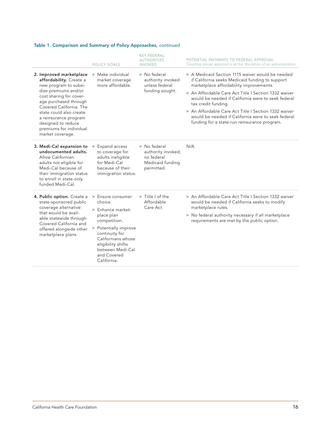### Table 1. Comparison and Summary of Policy Approaches, *continued*

|                                                                                                                                                                                                                                                                                                             | <b>POLICY GOALS</b>                                                                                                                                                                                                                                              | <b>KEY FEDERAL</b><br><b>AUTHORITIES</b><br><b>INVOKED</b>                                        | POTENTIAL PATHWAYS TO FEDERAL APPROVAL<br>Granting waiver approval is at the discretion of an administration.                                                                                                                                                                                                                                                                                                                               |
|-------------------------------------------------------------------------------------------------------------------------------------------------------------------------------------------------------------------------------------------------------------------------------------------------------------|------------------------------------------------------------------------------------------------------------------------------------------------------------------------------------------------------------------------------------------------------------------|---------------------------------------------------------------------------------------------------|---------------------------------------------------------------------------------------------------------------------------------------------------------------------------------------------------------------------------------------------------------------------------------------------------------------------------------------------------------------------------------------------------------------------------------------------|
| 2. Improved marketplace<br>affordability. Create a<br>new program to subsi-<br>dize premiums and/or<br>cost sharing for cover-<br>age purchased through<br>Covered California. The<br>state could also create<br>a reinsurance program<br>designed to reduce<br>premiums for individual<br>market coverage. | $\triangleright$ Make individual<br>market coverage<br>more affordable.                                                                                                                                                                                          | $\triangleright$ No federal<br>authority invoked<br>unless federal<br>funding sought.             | A Medicaid Section 1115 waiver would be needed<br>if California seeks Medicaid funding to support<br>marketplace affordability improvements.<br>An Affordable Care Act Title   Section 1332 waiver<br>would be needed if California were to seek federal<br>tax credit funding.<br>An Affordable Care Act Title   Section 1332 waiver<br>would be needed if California were to seek federal<br>funding for a state-run reinsurance program. |
| 3. Medi-Cal expansion to<br>undocumented adults.<br>Allow Californian<br>adults not eligible for<br>Medi-Cal because of<br>their immigration status<br>to enroll in state-only<br>funded Medi-Cal.                                                                                                          | Expand access<br>▶<br>to coverage for<br>adults ineligible<br>for Medi-Cal<br>because of their<br>immigration status.                                                                                                                                            | $\triangleright$ No federal<br>authority invoked;<br>no federal<br>Medicaid funding<br>permitted. | N/A                                                                                                                                                                                                                                                                                                                                                                                                                                         |
| 4. Public option. Create a<br>state-sponsored public<br>coverage alternative<br>that would be avail-<br>able statewide through<br>Covered California and<br>offered alongside other<br>marketplace plans.                                                                                                   | $\blacktriangleright$ Ensure consumer<br>choice.<br>$\blacktriangleright$ Enhance market-<br>place plan<br>competition.<br>> Potentially improve<br>continuity for<br>Californians whose<br>eligibility shifts<br>between Medi-Cal<br>and Covered<br>California. | $\blacktriangleright$ Title I of the<br>Affordable<br>Care Act                                    | An Affordable Care Act Title   Section 1332 waiver<br>would be needed if California seeks to modify<br>marketplace rules.<br>▶ No federal authority necessary if all marketplace<br>requirements are met by the public option.                                                                                                                                                                                                              |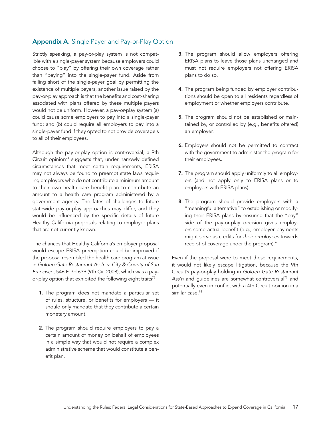## <span id="page-16-0"></span>Appendix A. Single Payer and Pay-or-Play Option

Strictly speaking, a pay-or-play system is not compatible with a single-payer system because employers could choose to "play" by offering their own coverage rather than "paying" into the single-payer fund. Aside from falling short of the single-payer goal by permitting the existence of multiple payers, another issue raised by the pay-or-play approach is that the benefits and cost-sharing associated with plans offered by these multiple payers would not be uniform. However, a pay-or-play system (a) could cause some employers to pay into a single-payer fund; and (b) could require all employers to pay into a single-payer fund if they opted to not provide coverage s to all of their employees.

Although the pay-or-play option is controversial, a 9th Circuit opinion<sup>74</sup> suggests that, under narrowly defined circumstances that meet certain requirements, ERISA may not always be found to preempt state laws requiring employers who do not contribute a minimum amount to their own health care benefit plan to contribute an amount to a health care program administered by a government agency. The fates of challenges to future statewide pay-or-play approaches may differ, and they would be influenced by the specific details of future Healthy California proposals relating to employer plans that are not currently known.

The chances that Healthy California's employer proposal would escape ERISA preemption could be improved if the proposal resembled the health care program at issue in *Golden Gate Restaurant Ass'n v. City & County of San Francisco*, 546 F. 3d 639 (9th Cir. 2008), which was a payor-play option that exhibited the following eight traits<sup>75</sup>:

- 1. The program does not mandate a particular set of rules, structure, or benefits for employers — it should only mandate that they contribute a certain monetary amount.
- 2. The program should require employers to pay a certain amount of money on behalf of employees in a simple way that would not require a complex administrative scheme that would constitute a benefit plan.
- **3.** The program should allow employers offering ERISA plans to leave those plans unchanged and must not require employers not offering ERISA plans to do so.
- 4. The program being funded by employer contributions should be open to all residents regardless of employment or whether employers contribute.
- 5. The program should not be established or maintained by, or controlled by (e.g., benefits offered) an employer.
- 6. Employers should not be permitted to contract with the government to administer the program for their employees.
- 7. The program should apply uniformly to all employers (and not apply only to ERISA plans or to employers with ERISA plans).
- 8. The program should provide employers with a "meaningful alternative" to establishing or modifying their ERISA plans by ensuring that the "pay" side of the pay-or-play decision gives employers some actual benefit (e.g., employer payments might serve as credits for *their employees* towards receipt of coverage under the program).<sup>76</sup>

Even if the proposal were to meet these requirements, it would not likely escape litigation, because the 9th Circuit's pay-or-play holding in *Golden Gate Restaurant*  Ass'n and guidelines are somewhat controversial<sup>77</sup> and potentially even in conflict with a 4th Circuit opinion in a similar case.<sup>78</sup>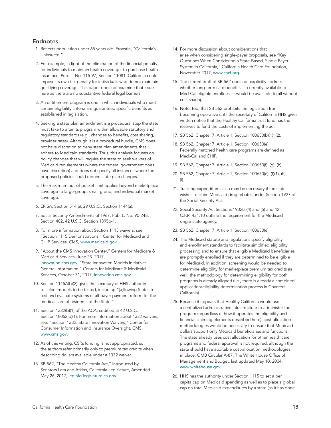#### <span id="page-17-0"></span>Endnotes

- 1. Reflects population under 65 years old. Fronstin, "California's Uninsured."
- 2. For example, in light of the elimination of the financial penalty for individuals to maintain health coverage to purchase health insurance, Pub. L. No. 115-97, Section 11081, California could impose its own tax penalty for individuals who do not maintain qualifying coverage. This paper does not examine that issue here as there are no substantive federal legal barriers.
- 3. An entitlement program is one in which individuals who meet certain eligibility criteria are guaranteed specific benefits as established in legislation.
- 4. Seeking a state plan amendment is a procedural step the state must take to alter its program within allowable statutory and regulatory standards (e.g., changes to benefits, cost sharing, provider rates). Although it is a procedural hurdle, CMS does not have discretion to deny state plan amendments that adhere to Medicaid standards. Thus, this analysis focuses on policy changes that will require the state to seek waivers of Medicaid requirements (where the federal government does have discretion) and does not specify all instances where the proposed policies could require state plan changes.
- 5. The maximum out-of-pocket limit applies beyond marketplace coverage to large-group, small-group, and individual market coverage.
- 6. ERISA, Section 514(a), 29 U.S.C., Section 1144(a).
- 7. Social Security Amendments of 1967, Pub. L. No. 90-248, Section 402, 42 U.S.C. Section 1395b-1.
- 8. For more information about Section 1115 waivers, see "Section 1115 Demonstrations," Center for Medicaid and CHIP Services, CMS, [www.medicaid.gov](https://www.medicaid.gov/medicaid/section-1115-demo/index.html).
- 9. "About the CMS Innovation Center," Centers for Medicare & Medicaid Services, June 23. 2017, [innovation.cms.gov](https://innovation.cms.gov/About); "State Innovation Models Initiative: General Information," Centers for Medicare & Medicaid Services, October 31, 2017, [innovation.cms.gov](https://innovation.cms.gov/initiatives/state-innovations/).
- 10. Section 1115A(b)(2) gives the secretary of HHS authority to select models to be tested, including "[a]llowing States to test and evaluate systems of all-payer payment reform for the medical care of residents of the State."
- 11. Section 1332(b)(1) of the ACA, codified at 42 U.S.C. Section 18052(b)(1). For more information about 1332 waivers, see: "Section 1332: State Innovation Waivers," Center for Consumer Information and Insurance Oversight, CMS, [www.cms.gov](https://www.cms.gov/CCIIO/Programs-and-Initiatives/State-Innovation-Waivers/Section_1332_State_Innovation_Waivers-.html).
- 12. As of this writing, CSRs funding is not appropriated, so the authors refer primarily only to premium tax credits when describing dollars available under a 1332 waiver.
- 13. SB 562, "The Healthy California Act," Introduced by Senators Lara and Atkins, California Legislature, Amended May 26, 2017, [leginfo.legislature.ca.gov](https://leginfo.legislature.ca.gov/faces/billNavClient.xhtml?bill_id=201720180SB562).
- 14. For more discussion about considerations that arise when considering single-payer proposals, see "Key Questions When Considering a State-Based, Single Payer System in California," California Health Care Foundation, November 2017, [www.chcf.org](https://www.chcf.org/blog/asking-the-important-questions-about-single-payer-in-california/).
- 15. The current draft of SB 562 does not explicitly address whether long-term care benefits — currently available to Med-Cal eligible enrollees — would be available to all without cost sharing.
- 16. Note, too, that SB 562 prohibits the legislation from becoming operative until the secretary of California HHS gives written notice that the Healthy California trust fund has the reserves to fund the costs of implementing the act.
- 17. SB 562, Chapter 7, Article 1, Section 100650(b)(1), (2).
- 18. SB 562, Chapter 7, Article 1, Section 100650(e). Federally matched health care programs are defined as Medi-Cal and CHIP.
- 19. SB 562, Chapter 7, Article 1, Section 100650(f), (g), (h).
- 20. SB 562, Chapter 7, Article 1, Section 100650(e), (f)(1), (h), (i).
- 21. Tracking expenditures also may be necessary if the state wishes to claim Medicaid drug rebates under Section 1927 of the Social Security Act.
- 22. Social Security Act Sections 1902(a)(4) and (5) and 42 C.F.R. 431.10 outline the requirement for the Medicaid single-state agency.
- 23. SB 562, Chapter 7, Article 1, Section 100650(e).
- 24. The Medicaid statute and regulations specify eligibility and enrollment standards to facilitate simplified eligibility processing and to ensure that eligible Medicaid beneficiaries are promptly enrolled if they are determined to be eligible for Medicaid. In addition, screening would be needed to determine eligibility for marketplace premium tax credits as well; the methodology for determining eligibility for both programs is already aligned (i.e., there is already a combined application/eligibility determination process in Covered California).
- 25. Because it appears that Healthy California would use a centralized administrative infrastructure to administer the program (regardless of how it operates the eligibility and financial claiming elements described here), cost-allocation methodologies would be necessary to ensure that Medicaid dollars support only Medicaid beneficiaries and functions. The state already uses cost allocation for other health care programs and federal approval is not required, although the state should have auditable cost-allocation methodologies in place. OMB Circular A-87, The White House Office of Management and Budget, last updated May 10, 2004, [www.whitehouse.gov](https://www.whitehouse.gov/sites/whitehouse.gov/files/omb/circulars/A87/a87_2004.pdf).
- 26. HHS has the authority under Section 1115 to set a per capita cap on Medicaid spending as well as to place a global cap on total Medicaid expenditures by a state (as it has done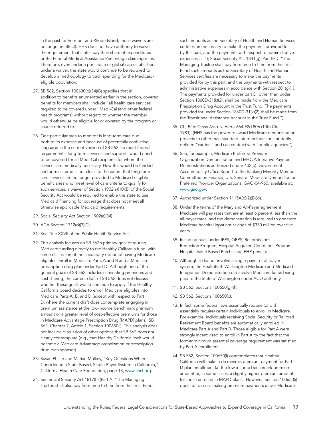in the past for Vermont and Rhode Island; those waivers are no longer in effect). HHS does not have authority to waive the requirement that states pay their share of expenditures or the Federal Medical Assistance Percentage claiming rules. Therefore, even under a per capita or global cap established under a waiver, the state would continue to be required to develop a methodology to track spending for the Medicaideligible population.

- 27. SB 562, Section 100630(b)(34)(B) specifies that in addition to benefits enumerated earlier in the section, covered benefits for members shall include "all health care services required to be covered under" Medi-Cal (and other federal health programs) without regard to whether the member would otherwise be eligible for or covered by the program or source referred to.
- 28. One particular area to monitor is long-term care due both to its expense and because of potentially conflicting language in the current version of SB 562. To meet federal requirements, long-term services and supports would need to be covered for all Medi-Cal recipients for whom the services are medically necessary. How this would be funded and administered is not clear. To the extent that long-term care services are no longer provided to Medicaid-eligible beneficiaries who meet level of care criteria to qualify for such services, a waiver of Section 1902(a)(10)(B) of the Social Security Act would be required to enable the state to use Medicaid financing for coverage that does not meet all otherwise applicable Medicaid requirements.
- 29. Social Security Act Section 1902(a)(34).
- 30. ACA Section 1312(d)(3)(C).
- 31. See Title XXVII of the Public Health Service Act.
- 32. This analysis focuses on SB 562's primary goal of routing Medicare funding directly to the Healthy California fund, with some discussion of the secondary option of having Medicare eligibles enroll in Medicare Parts A and B and a Medicare prescription drug plan under Part D. Although one of the general goals of SB 562 includes eliminating premiums and cost sharing, the current draft of SB 562 does not discuss whether these goals would continue to apply if the Healthy California board decides to enroll Medicare eligibles into Medicare Parts A, B, and D (except with respect to Part D, where the current draft does contemplate engaging in premium assistance at the low-income benchmark premium amount or a greater level of cost-effective premiums for those in Medicare Advantage Prescription Drug [MAPD] plans). SB 562, Chapter 7, Article 1, Section 100650(i). This analysis does not include discussion of other options that SB 562 does not clearly contemplate (e.g., that Healthy California itself would become a Medicare Advantage organization or prescription drug plan sponsor).
- 33. Susan Phillip and Marian Mulkey, "Key Questions When Considering a State-Based, Single-Payer System in California," California Health Care Foundation, page 13, [www.chcf.org](https://www.chcf.org/publication/key-questions-when-considering-a-state-based-single-payer-system-in).
- 34. See Social Security Act 1817(h) (Part A: "The Managing Trustee shall also pay from time to time from the Trust Fund

such amounts as the Secretary of Health and Human Services certifies are necessary to make the payments provided for by this part, and the payments with respect to administrative expenses . . ."); Social Security Act 1841(g) (Part B/D: "The Managing Trustee shall pay from time to time from the Trust Fund such amounts as the Secretary of Health and Human Services certifies are necessary to make the payments provided for by this part, and the payments with respect to administrative expenses in accordance with Section 201(g)(1). The payments provided for under part D, other than under Section 1860D-31(k)(2), shall be made from the Medicare Prescription Drug Account in the Trust Fund. The payments provided for under Section 1860D-31(k)(2) shall be made from the Transitional Assistance Account in the Trust Fund.").

- 35. Cf., *Blue Cross Asso. v. Harris* 664 F2d 806 (10th Cir. 1981). (HHS has the power to award Medicare demonstration projects to other than standard intermediaries or statutorily defined "carriers" and can contract with "public agencies.")
- 36. See, for example, Medicare Preferred Provider Organization Demonstration and M+C Alternative Payment Demonstrations authorized under 402(b). Government Accountability Office Report to the Ranking Minority Member, Committee on Finance, U.S. Senate: Medicare Demonstration Preferred Provider Organizations, GAO-04-960, available at: [www.gao.gov](https://www.gao.gov/new.items/d04960.pdf).
- 37. Authorized under Section 1115A(b)(2)(B)(xi).
- 38. Under the terms of the Maryland All-Payer agreement, Medicare will pay rates that are at least 6 percent less than the all-payer rates, and the demonstration is required to generate Medicare hospital inpatient savings of \$330 million over five years.
- 39. Including rules under IPPS, OPPS, Readmissions Reduction Program, Hospital Acquired Conditions Program, Hospital Value Based Purchasing, EHR penalty.
- 40. Although it did not involve a single-payer or all-payer system, the HealthPath Washington Medicare and Medicaid Integration Demonstration did involve Medicare funds being paid to the State of Washington under ACO authority.
- 41. SB 562, Sections 100650(g)-(h).
- 42. SB 562, Sections 100650(c).
- 43. In fact, some federal laws essentially require (or did essentially require) certain individuals to enroll in Medicare. For example, individuals receiving Social Security or Railroad Retirement Board benefits are automatically enrolled in Medicare Part A and Part B. Those eligible for Part A were strongly incentivized to enroll in Part A by the fact that the former minimum essential coverage requirement was satisfied by Part A enrollment.
- 44. SB 562, Section 100650(i) contemplates that Healthy California will make a de minimis premium payment for Part D plan enrollment (at the low-income benchmark premium amount or, in some cases, a slightly higher premium amount for those enrolled in MAPD plans). However, Section 100650(i) does not discuss making premium payments under Medicare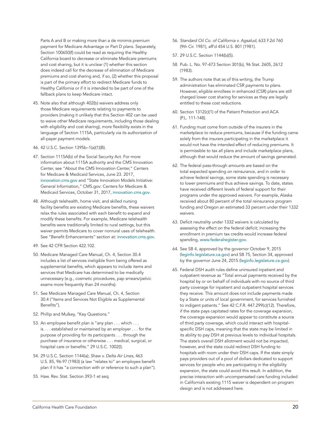Parts A and B or making more than a de minimis premium payment for Medicare Advantage or Part D plans. Separately, Section 100650(f) could be read as requiring the Healthy California board to decrease or eliminate Medicare premiums and cost sharing, but it is unclear (1) whether this section does indeed call for the decrease of elimination of Medicare premiums and cost sharing and, if so, (2) whether this proposal is part of the primary effort to redirect Medicare funds to Healthy California or if it is intended to be part of one of the fallback plans to keep Medicare intact.

- 45. Note also that although 402(b) waivers address only those Medicare requirements relating to payments to providers (making it unlikely that this Section 402 can be used to waive other Medicare requirements, including those dealing with eligibility and cost sharing), more flexibility exists in the language of Section 1115A, particularly via its authorization of all-payer payment models.
- 46. 42 U.S.C. Section 1395b–1(a)(1)(B).
- 47. Section 1115A(b) of the Social Security Act. For more information about 1115A authority and the CMS Innovation Center, see "About the CMS Innovation Center," Centers for Medicare & Medicaid Services, June 23. 2017, [innovation.cms.gov](https://innovation.cms.gov/About) and "State Innovation Models Initiative: General Information," CMS.gov: Centers for Medicare & Medicaid Services, October 31, 2017, [innovation.cms.gov](https://innovation.cms.gov/initiatives/state-innovations/).
- 48. Although telehealth, home visit, and skilled nursing facility benefits are existing Medicare benefits, these waivers relax the rules associated with each benefit to expand and modify these benefits. For example, Medicare telehealth benefits were traditionally limited to rural settings, but this waiver permits Medicare to cover nonrural uses of telehealth. See "Benefit Enhancements" section at: [innovation.cms.gov](https://innovation.cms.gov/initiatives/Next-Generation-ACO-Model/).
- 49. See 42 CFR Section 422.102.
- 50. Medicare Managed Care Manual, Ch. 4, Section 30.4 includes a list of services ineligible from being offered as supplemental benefits, which appears to include items and services that Medicare has determined to be medically unnecessary (e.g., cosmetic procedures, pap smears/pelvic exams more frequently than 24 months).
- 51. See Medicare Managed Care Manual, Ch. 4, Section 30.4 ("Items and Services Not Eligible as Supplemental Benefits").
- 52. Phillip and Mulkey, "Key Questions."
- 53. An employee benefit plan is "any plan . . . which . . . is . . . established or maintained by an employer . . . for the purpose of providing for its participants . . . through the purchase of insurance or otherwise . . . medical, surgical, or hospital care or benefits." 29 U.S.C. 1002(l).
- 54. 29 U.S.C. Section 1144(a); *Shaw v. Delta Air Lines*, 463 U.S. 85, 96-97 (1983) (a law "relates to" an employee benefit plan if it has "a connection with or reference to such a plan").
- 55. Haw. Rev. Stat. Section 393-1 et seq.
- 56. *Standard Oil Co. of California v. Agsalud*, 633 F.2d 760 (9th Cir. 1981), aff'd 454 U.S. 801 (1981).
- 57. 29 U.S.C. Section 1144(b)(5).
- 58. Pub. L. No. 97-473 Section 301(b), 96 Stat. 2605, 2612 (1983).
- 59. The authors note that as of this writing, the Trump administration has eliminated CSR payments to plans. However, eligible enrollees in enhanced (CSR) plans are still charged lower cost sharing for services as they are legally entitled to these cost reductions.
- 60. Section 1312(c)(1) of the Patient Protection and ACA (P.L. 111-148).
- 61. Funding must come from outside of the insurers in the marketplace to reduce premiums, because if the funding came solely from the insurers participating in the marketplace it would not have the intended effect of reducing premiums. It is permissible to tax all plans and include marketplace plans, although that would reduce the amount of savings generated.
- 62. The federal pass-through amounts are based on the total expected spending on reinsurance, and in order to achieve federal savings, some state spending is necessary to lower premiums and thus achieve savings. To date, states have received different levels of federal support for their programs under the approved waivers. For example, Alaska received about 80 percent of the total reinsurance program funding and Oregon an estimated 33 percent under their 1332 waivers.
- 63. Deficit neutrality under 1332 waivers is calculated by assessing the effect on the federal deficit; increasing the enrollment in premium tax credits would increase federal spending, [www.federalregister.gov](https://www.federalregister.gov/documents/2015/12/16/2015-31563/waivers-for-state-innovation).
- 64. See SB 4, approved by the governor October 9, 2015 ([leginfo.legislature.ca.gov](https://leginfo.legislature.ca.gov/faces/billTextClient.xhtml?bill_id=201520160SB4)) and SB 75, Section 34, approved by the governor June 24, 2015 ([leginfo.legislature.ca.gov](http://leginfo.legislature.ca.gov/faces/billTextClient.xhtml?bill_id=201520160SB75)).
- 65. Federal DSH audit rules define uninsured inpatient and outpatient revenue as "Total annual payments received by the hospital by or on behalf of individuals with no source of third party coverage for inpatient and outpatient hospital services they receive. This amount does not include payments made by a State or units of local government, for services furnished to indigent patients." See 42 C.F.R. 447.299(c)(12). Therefore, if the state pays capitated rates for the coverage expansion, the coverage expansion would appear to constitute a source of third party coverage, which could interact with hospitalspecific DSH caps, meaning that the state may be limited in its ability to pay DSH at previous levels to individual hospitals. The state's overall DSH allotment would not be impacted, however, and the state could redirect DSH funding to hospitals with room under their DSH caps. If the state simply pays providers out of a pool of dollars dedicated to support services for people who are participating in the eligibility expansion, the state could avoid this result. In addition, the precise interaction with uncompensated care funding included in California's existing 1115 waiver is dependent on program design and is not addressed here.